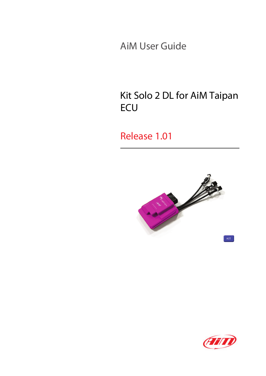AiM User Guide

## Kit Solo 2 DL for AiM Taipan **ECU**

### Release 1.01



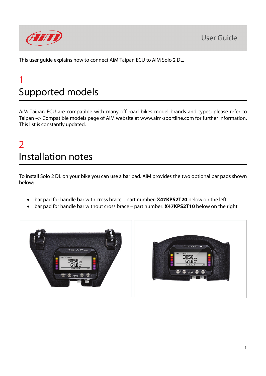

This user guide explains how to connect AiM Taipan ECU to AiM Solo 2 DL.

## 1 Supported models

AiM Taipan ECU are compatible with many off road bikes model brands and types; please refer to Taipan –> Compatible models page of AiM website at www.aim-sportline.com for further information. This list is constantly updated.

## $\overline{\phantom{a}}$ Installation notes

To install Solo 2 DL on your bike you can use a bar pad. AiM provides the two optional bar pads shown below:

- bar pad for handle bar with cross brace part number: **X47KPS2T20** below on the left
- bar pad for handle bar without cross brace part number: **X47KPS2T10** below on the right

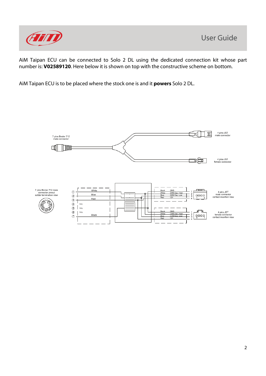

AiM Taipan ECU can be connected to Solo 2 DL using the dedicated connection kit whose part number is: **V02589120**. Here below it is shown on top with the constructive scheme on bottom.

AiM Taipan ECU is to be placed where the stock one is and it **powers** Solo 2 DL.

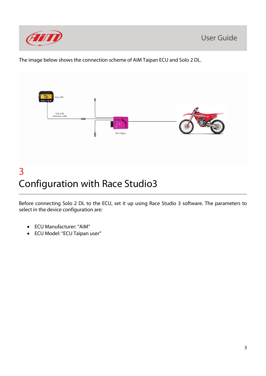

The image below shows the connection scheme of AiM Taipan ECU and Solo 2 DL.



# Configuration with Race Studio3

Before connecting Solo 2 DL to the ECU, set it up using Race Studio 3 software. The parameters to select in the device configuration are:

- ECU Manufacturer: "AiM"
- ECU Model: "ECU Taipan user"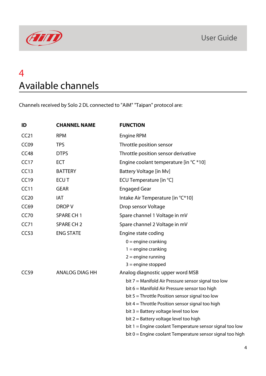

## 4 Available channels

Channels received by Solo 2 DL connected to "AiM" "Taipan" protocol are:

| ID               | <b>CHANNEL NAME</b>   | <b>FUNCTION</b>                                           |
|------------------|-----------------------|-----------------------------------------------------------|
| CC21             | <b>RPM</b>            | <b>Engine RPM</b>                                         |
| CC <sub>09</sub> | <b>TPS</b>            | Throttle position sensor                                  |
| CC48             | <b>DTPS</b>           | Throttle position sensor derivative                       |
| CC17             | <b>ECT</b>            | Engine coolant temperature [in °C *10]                    |
| CC13             | <b>BATTERY</b>        | Battery Voltage [in Mv]                                   |
| <b>CC19</b>      | <b>ECUT</b>           | ECU Temperature [in °C]                                   |
| CC11             | <b>GEAR</b>           | <b>Engaged Gear</b>                                       |
| CC20             | <b>IAT</b>            | Intake Air Temperature [in °C*10]                         |
| <b>CC69</b>      | DROP V                | Drop sensor Voltage                                       |
| <b>CC70</b>      | <b>SPARE CH1</b>      | Spare channel 1 Voltage in mV                             |
| CC71             | <b>SPARE CH 2</b>     | Spare channel 2 Voltage in mV                             |
| CC53             | <b>ENG STATE</b>      | Engine state coding                                       |
|                  |                       | $0 =$ engine cranking                                     |
|                  |                       | $1 =$ engine cranking                                     |
|                  |                       | $2 =$ engine running                                      |
|                  |                       | $3$ = engine stopped                                      |
| CC59             | <b>ANALOG DIAG HH</b> | Analog diagnostic upper word MSB                          |
|                  |                       | bit 7 = Manifold Air Pressure sensor signal too low       |
|                  |                       | bit 6 = Manifold Air Pressure sensor too high             |
|                  |                       | bit $5 =$ Throttle Position sensor signal too low         |
|                  |                       | bit $4 =$ Throttle Position sensor signal too high        |
|                  |                       | bit 3 = Battery voltage level too low                     |
|                  |                       | bit 2 = Battery voltage level too high                    |
|                  |                       | bit 1 = Engine coolant Temperature sensor signal too low  |
|                  |                       | bit 0 = Engine coolant Temperature sensor signal too high |
|                  |                       |                                                           |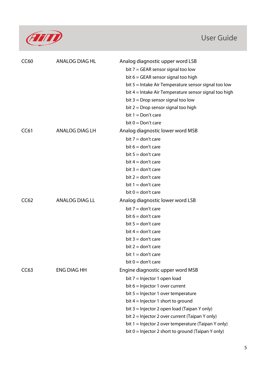

### User Guide

| <b>CC60</b> | <b>ANALOG DIAG HL</b> | Analog diagnostic upper word LSB                      |
|-------------|-----------------------|-------------------------------------------------------|
|             |                       | bit $7 = GEAR$ sensor signal too low                  |
|             |                       | bit $6 = GEAR$ sensor signal too high                 |
|             |                       | bit 5 = Intake Air Temperature sensor signal too low  |
|             |                       | bit 4 = Intake Air Temperature sensor signal too high |
|             |                       | bit $3 =$ Drop sensor signal too low                  |
|             |                       | bit $2 =$ Drop sensor signal too high                 |
|             |                       | bit $1 = Don't care$                                  |
|             |                       | bit $0 = Don't care$                                  |
| CC61        | ANALOG DIAG LH        | Analog diagnostic lower word MSB                      |
|             |                       | bit $7 =$ don't care                                  |
|             |                       | bit $6 =$ don't care                                  |
|             |                       | bit $5 =$ don't care                                  |
|             |                       | bit $4 =$ don't care                                  |
|             |                       | bit $3 =$ don't care                                  |
|             |                       | bit $2 =$ don't care                                  |
|             |                       | bit $1 =$ don't care                                  |
|             |                       | bit $0 =$ don't care                                  |
| CC62        | ANALOG DIAG LL        | Analog diagnostic lower word LSB                      |
|             |                       | bit $7 =$ don't care                                  |
|             |                       | bit $6 =$ don't care                                  |
|             |                       | bit $5 =$ don't care                                  |
|             |                       | bit $4 =$ don't care                                  |
|             |                       | bit $3 =$ don't care                                  |
|             |                       | bit $2 =$ don't care                                  |
|             |                       | bit $1 =$ don't care                                  |
|             |                       | bit $0 =$ don't care                                  |
| CC63        | <b>ENG DIAG HH</b>    | Engine diagnostic upper word MSB                      |
|             |                       | bit $7 =$ Injector 1 open load                        |
|             |                       | bit $6 =$ Injector 1 over current                     |
|             |                       | bit $5 =$ Injector 1 over temperature                 |
|             |                       | bit $4 =$ Injector 1 short to ground                  |
|             |                       | bit $3 =$ Injector 2 open load (Taipan Y only)        |
|             |                       | bit $2 =$ Injector 2 over current (Taipan Y only)     |
|             |                       | bit $1 =$ Injector 2 over temperature (Taipan Y only) |
|             |                       | bit $0 =$ Injector 2 short to ground (Taipan Y only)  |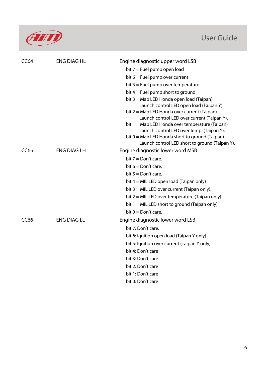

### User Guide

| <b>CC64</b>      | <b>ENG DIAG HL</b> | Engine diagnostic upper word LSB                                                           |
|------------------|--------------------|--------------------------------------------------------------------------------------------|
|                  |                    | bit $7 =$ Fuel pump open load                                                              |
|                  |                    | bit $6 =$ Fuel pump over current                                                           |
|                  |                    | bit $5 =$ Fuel pump over temperature                                                       |
|                  |                    | bit $4 =$ Fuel pump short to ground                                                        |
|                  |                    | bit 3 = Map LED Honda open load (Taipan)                                                   |
|                  |                    | Launch control LED open load (Taipan Y)                                                    |
|                  |                    | bit 2 = Map LED Honda over current (Taipan)<br>Launch control LED over current (Taipan Y). |
|                  |                    | bit 1 = Map LED Honda over temperature (Taipan)                                            |
|                  |                    | Launch control LED over temp. (Taipan Y).                                                  |
|                  |                    | bit $0 = Map$ LED Honda short to ground (Taipan)                                           |
| CC65             | <b>ENG DIAG LH</b> | Launch control LED short to ground (Taipan Y).<br>Engine diagnostic lower word MSB         |
|                  |                    | bit $7 = Don't care$ .                                                                     |
|                  |                    | bit $6 = Don't care$ .                                                                     |
|                  |                    | bit $5 = Don't care$ .                                                                     |
|                  |                    | bit $4 = MIL LED$ open load (Taipan only)                                                  |
|                  |                    | bit $3 = MIL LED$ over current (Taipan only).                                              |
|                  |                    | bit $2 = MIL LED$ over temperature (Taipan only).                                          |
|                  |                    | bit $1 = MIL LED$ short to ground (Taipan only).                                           |
|                  |                    | bit $0 = Don't care$ .                                                                     |
| CC <sub>66</sub> | <b>ENG DIAG LL</b> | Engine diagnostic lower word LSB                                                           |
|                  |                    | bit 7: Don't care.                                                                         |
|                  |                    | bit 6: Ignition open load (Taipan Y only)                                                  |
|                  |                    | bit 5: Ignition over current (Taipan Y only).                                              |
|                  |                    | bit 4: Don't care                                                                          |
|                  |                    | bit 3: Don't care                                                                          |
|                  |                    | bit 2: Don't care                                                                          |
|                  |                    | bit 1: Don't care                                                                          |
|                  |                    | bit 0: Don't care                                                                          |